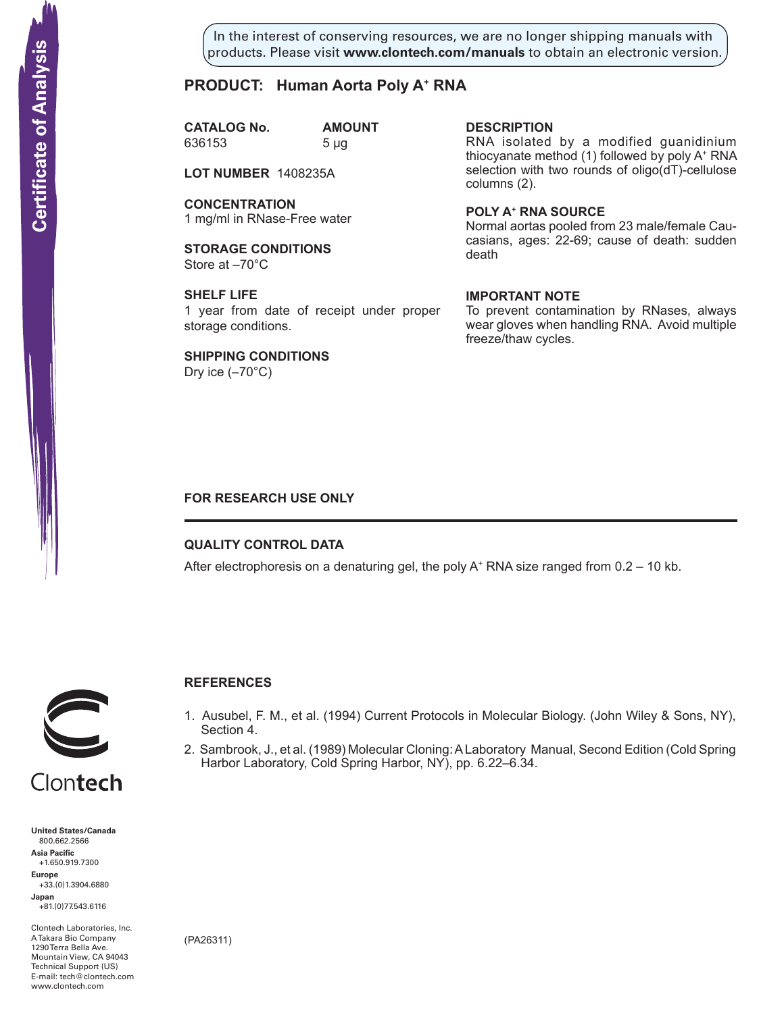In the interest of conserving resources, we are no longer shipping manuals with products. Please visit **www.clontech.com/manuals** to obtain an electronic version.

# **PRODUCT: Human Aorta Poly A+ RNA**

**CATALOG No. AMOUNT** 636153 5 µg

**LOT NUMBER** 1408235A

**CONCENTRATION** 1 mg/ml in RNase-Free water

**STORAGE CONDITIONS** Store at –70°C

**SHELF LIFE** 1 year from date of receipt under proper storage conditions.

**SHIPPING CONDITIONS** Dry ice  $(-70^{\circ}C)$ 

**description**

RNA isolated by a modified guanidinium thiocyanate method (1) followed by poly A+ RNA selection with two rounds of oligo(dT)-cellulose columns (2).

**Poly a+ RNA source** Normal aortas pooled from 23 male/female Caucasians, ages: 22-69; cause of death: sudden death

### **IMPORTANT NOTE**

To prevent contamination by RNases, always wear gloves when handling RNA. Avoid multiple freeze/thaw cycles.

## **FOR RESEARCH USE ONLY**

## **QUALITY CONTROL DATA**

After electrophoresis on a denaturing gel, the poly  $A^+$  RNA size ranged from 0.2 – 10 kb.



# **References**

- 1. Ausubel, F. M., et al. (1994) Current Protocols in Molecular Biology. (John Wiley & Sons, NY), Section 4.
- 2. Sambrook, J., et al. (1989) Molecular Cloning: A Laboratory Manual, Second Edition (Cold Spring Harbor Laboratory, Cold Spring Harbor, NY), pp. 6.22–6.34.

**United States/Canada** 800.662.2566 **Asia Pacific** +1.650.919.7300 **Europe** +33.(0)1.3904.6880 **Solution Control Control Control Control Control Control Control Control Control Control Control Control Control Control Control Control Control Control Control Control Control Control Control Control Control Control Cont** 

**Japan** +81.(0)77.543.6116

Clontech Laboratories, Inc. A Takara Bio Company 1290 Terra Bella Ave. Mountain View, CA 94043 Technical Support (US) E-mail: tech@clontech.com

(PA26311)